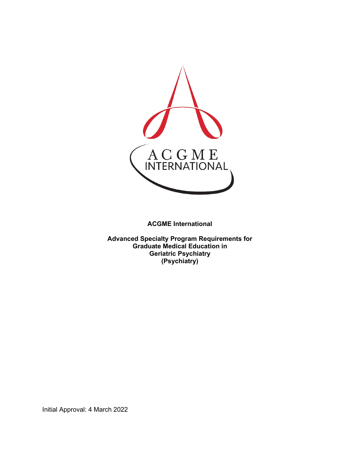

**ACGME International** 

**Advanced Specialty Program Requirements for Graduate Medical Education in Geriatric Psychiatry (Psychiatry)**

Initial Approval: 4 March 2022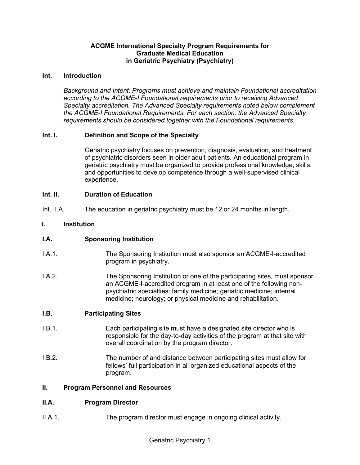## **ACGME International Specialty Program Requirements for Graduate Medical Education in Geriatric Psychiatry (Psychiatry)**

#### **Int. Introduction**

*Background and Intent: Programs must achieve and maintain Foundational accreditation according to the ACGME-I Foundational requirements prior to receiving Advanced Specialty accreditation. The Advanced Specialty requirements noted below complement the ACGME-I Foundational Requirements. For each section, the Advanced Specialty requirements should be considered together with the Foundational requirements.*

## **Int. I. Definition and Scope of the Specialty**

Geriatric psychiatry focuses on prevention, diagnosis, evaluation, and treatment of psychiatric disorders seen in older adult patients. An educational program in geriatric psychiatry must be organized to provide professional knowledge, skills, and opportunities to develop competence through a well-supervised clinical experience.

## **Int. II. Duration of Education**

Int. II.A. The education in geriatric psychiatry must be 12 or 24 months in length.

#### **I. Institution**

## **I.A. Sponsoring Institution**

- I.A.1. The Sponsoring Institution must also sponsor an ACGME-I-accredited program in psychiatry.
- I.A.2. The Sponsoring Institution or one of the participating sites, must sponsor an ACGME-I-accredited program in at least one of the following nonpsychiatric specialties: family medicine; geriatric medicine; internal medicine; neurology; or physical medicine and rehabilitation.

#### **I.B. Participating Sites**

- I.B.1. Each participating site must have a designated site director who is responsible for the day-to-day activities of the program at that site with overall coordination by the program director.
- I.B.2. The number of and distance between participating sites must allow for fellows' full participation in all organized educational aspects of the program.

#### **II. Program Personnel and Resources**

## **II.A. Program Director**

II.A.1. The program director must engage in ongoing clinical activity.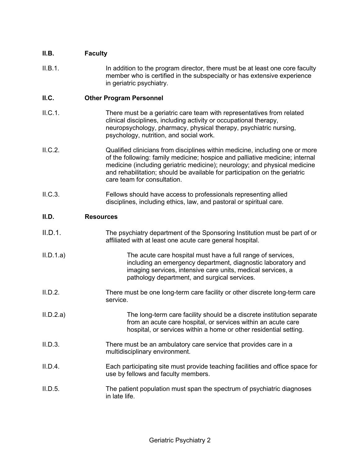# **II.B. Faculty**

II.B.1. In addition to the program director, there must be at least one core faculty member who is certified in the subspecialty or has extensive experience in geriatric psychiatry.

## **II.C. Other Program Personnel**

- II.C.1. There must be a geriatric care team with representatives from related clinical disciplines, including activity or occupational therapy, neuropsychology, pharmacy, physical therapy, psychiatric nursing, psychology, nutrition, and social work.
- II.C.2. Qualified clinicians from disciplines within medicine, including one or more of the following: family medicine; hospice and palliative medicine; internal medicine (including geriatric medicine); neurology; and physical medicine and rehabilitation; should be available for participation on the geriatric care team for consultation.
- II.C.3. Fellows should have access to professionals representing allied disciplines, including ethics, law, and pastoral or spiritual care.

## **II.D. Resources**

- II.D.1. The psychiatry department of the Sponsoring Institution must be part of or affiliated with at least one acute care general hospital.
- II.D.1.a) The acute care hospital must have a full range of services, including an emergency department, diagnostic laboratory and imaging services, intensive care units, medical services, a pathology department, and surgical services.
- II.D.2. There must be one long-term care facility or other discrete long-term care service.
- II.D.2.a) The long-term care facility should be a discrete institution separate from an acute care hospital, or services within an acute care hospital, or services within a home or other residential setting.
- II.D.3. There must be an ambulatory care service that provides care in a multidisciplinary environment.
- II.D.4. Each participating site must provide teaching facilities and office space for use by fellows and faculty members.
- II.D.5. The patient population must span the spectrum of psychiatric diagnoses in late life.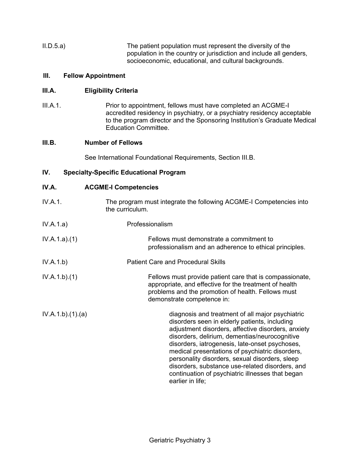II.D.5.a) The patient population must represent the diversity of the population in the country or jurisdiction and include all genders, socioeconomic, educational, and cultural backgrounds.

## **III. Fellow Appointment**

## **III.A. Eligibility Criteria**

III.A.1. Prior to appointment, fellows must have completed an ACGME-I accredited residency in psychiatry, or a psychiatry residency acceptable to the program director and the Sponsoring Institution's Graduate Medical Education Committee.

# **III.B. Number of Fellows**

See International Foundational Requirements, Section III.B.

# **IV. Specialty-Specific Educational Program**

#### **IV.A. ACGME-I Competencies**

| IV.A.1.         | The program must integrate the following ACGME-I Competencies into<br>the curriculum.                                                                                                                                                                                                                                                                                                                                                                                                      |
|-----------------|--------------------------------------------------------------------------------------------------------------------------------------------------------------------------------------------------------------------------------------------------------------------------------------------------------------------------------------------------------------------------------------------------------------------------------------------------------------------------------------------|
| IV.A.1.a)       | Professionalism                                                                                                                                                                                                                                                                                                                                                                                                                                                                            |
| IV.A.1.a)(1)    | Fellows must demonstrate a commitment to<br>professionalism and an adherence to ethical principles.                                                                                                                                                                                                                                                                                                                                                                                        |
| IV.A.1.b)       | <b>Patient Care and Procedural Skills</b>                                                                                                                                                                                                                                                                                                                                                                                                                                                  |
| IV.A.1.b)(1)    | Fellows must provide patient care that is compassionate,<br>appropriate, and effective for the treatment of health<br>problems and the promotion of health. Fellows must<br>demonstrate competence in:                                                                                                                                                                                                                                                                                     |
| IV.A.1.b)(1)(a) | diagnosis and treatment of all major psychiatric<br>disorders seen in elderly patients, including<br>adjustment disorders, affective disorders, anxiety<br>disorders, delirium, dementias/neurocognitive<br>disorders, iatrogenesis, late-onset psychoses,<br>medical presentations of psychiatric disorders,<br>personality disorders, sexual disorders, sleep<br>disorders, substance use-related disorders, and<br>continuation of psychiatric illnesses that began<br>earlier in life; |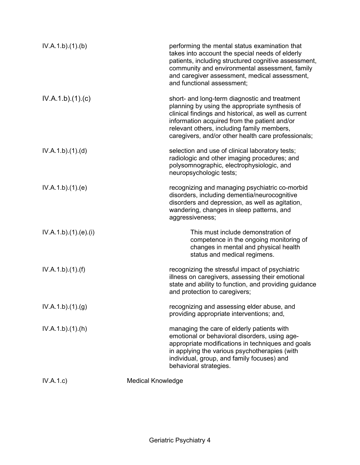| IV.A.1.b)(1)(b)    | performing the mental status examination that<br>takes into account the special needs of elderly<br>patients, including structured cognitive assessment,<br>community and environmental assessment, family<br>and caregiver assessment, medical assessment,<br>and functional assessment;                    |
|--------------------|--------------------------------------------------------------------------------------------------------------------------------------------------------------------------------------------------------------------------------------------------------------------------------------------------------------|
| IV.A.1.b)(1)(c)    | short- and long-term diagnostic and treatment<br>planning by using the appropriate synthesis of<br>clinical findings and historical, as well as current<br>information acquired from the patient and/or<br>relevant others, including family members,<br>caregivers, and/or other health care professionals; |
| IV.A.1.b)(1)(d)    | selection and use of clinical laboratory tests;<br>radiologic and other imaging procedures; and<br>polysomnographic, electrophysiologic, and<br>neuropsychologic tests;                                                                                                                                      |
| IV.A.1.b)(1)(e)    | recognizing and managing psychiatric co-morbid<br>disorders, including dementia/neurocognitive<br>disorders and depression, as well as agitation,<br>wandering, changes in sleep patterns, and<br>aggressiveness;                                                                                            |
| IV.A.1.b)(1)(e)(i) | This must include demonstration of<br>competence in the ongoing monitoring of<br>changes in mental and physical health<br>status and medical regimens.                                                                                                                                                       |
| IV.A.1.b)(1)(f)    | recognizing the stressful impact of psychiatric<br>illness on caregivers, assessing their emotional<br>state and ability to function, and providing guidance<br>and protection to caregivers;                                                                                                                |
| IV.A.1.b)(1)(g)    | recognizing and assessing elder abuse, and<br>providing appropriate interventions; and,                                                                                                                                                                                                                      |
| IV.A.1.b)(1)(h)    | managing the care of elderly patients with<br>emotional or behavioral disorders, using age-<br>appropriate modifications in techniques and goals<br>in applying the various psychotherapies (with<br>individual, group, and family focuses) and<br>behavioral strategies.                                    |
| IV.A.1.c)          | <b>Medical Knowledge</b>                                                                                                                                                                                                                                                                                     |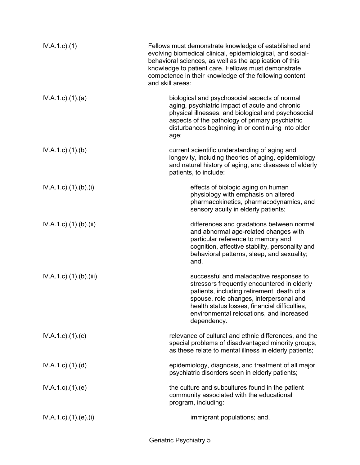| $IV.A.1.c.$ (1)                     | Fellows must demonstrate knowledge of established and<br>evolving biomedical clinical, epidemiological, and social-<br>behavioral sciences, as well as the application of this<br>knowledge to patient care. Fellows must demonstrate<br>competence in their knowledge of the following content<br>and skill areas: |
|-------------------------------------|---------------------------------------------------------------------------------------------------------------------------------------------------------------------------------------------------------------------------------------------------------------------------------------------------------------------|
| $IV.A.1.c$ . $(1).$ $(a)$           | biological and psychosocial aspects of normal<br>aging, psychiatric impact of acute and chronic<br>physical illnesses, and biological and psychosocial<br>aspects of the pathology of primary psychiatric<br>disturbances beginning in or continuing into older<br>age;                                             |
| $IV.A.1.c$ . $(1).$ (b)             | current scientific understanding of aging and<br>longevity, including theories of aging, epidemiology<br>and natural history of aging, and diseases of elderly<br>patients, to include:                                                                                                                             |
| $IV.A.1.c$ ). $(1)$ . $(b)$ . $(i)$ | effects of biologic aging on human<br>physiology with emphasis on altered<br>pharmacokinetics, pharmacodynamics, and<br>sensory acuity in elderly patients;                                                                                                                                                         |
| $IV.A.1.c$ . $(1).$ $(b).$ $(ii)$   | differences and gradations between normal<br>and abnormal age-related changes with<br>particular reference to memory and<br>cognition, affective stability, personality and<br>behavioral patterns, sleep, and sexuality;<br>and,                                                                                   |
| IV.A.1.c).(1).(b).(iii)             | successful and maladaptive responses to<br>stressors frequently encountered in elderly<br>patients, including retirement, death of a<br>spouse, role changes, interpersonal and<br>health status losses, financial difficulties,<br>environmental relocations, and increased<br>dependency.                         |
| $IV.A.1.c$ . $(1).$ $(c)$           | relevance of cultural and ethnic differences, and the<br>special problems of disadvantaged minority groups,<br>as these relate to mental illness in elderly patients;                                                                                                                                               |
| $IV.A.1.c$ . $(1).$ $(d)$           | epidemiology, diagnosis, and treatment of all major<br>psychiatric disorders seen in elderly patients;                                                                                                                                                                                                              |
| IV.A.1.c)(1)(e)                     | the culture and subcultures found in the patient<br>community associated with the educational<br>program, including:                                                                                                                                                                                                |
| $IV.A.1.c$ ). $(1).$ (e). $(i)$     | immigrant populations; and,                                                                                                                                                                                                                                                                                         |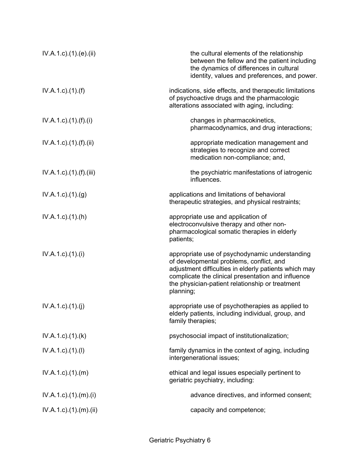| $IV.A.1.c$ ). $(1).$ (e). $(ii)$      | the cultural elements of the relationship<br>between the fellow and the patient including<br>the dynamics of differences in cultural<br>identity, values and preferences, and power.                                                                                      |
|---------------------------------------|---------------------------------------------------------------------------------------------------------------------------------------------------------------------------------------------------------------------------------------------------------------------------|
| $IV.A.1.c$ ). $(1).(f)$               | indications, side effects, and therapeutic limitations<br>of psychoactive drugs and the pharmacologic<br>alterations associated with aging, including:                                                                                                                    |
| $IV.A.1.c$ . $(1).(f).(i)$            | changes in pharmacokinetics,<br>pharmacodynamics, and drug interactions;                                                                                                                                                                                                  |
| $IV.A.1.c$ ). $(1)$ . $(f)$ . $(ii)$  | appropriate medication management and<br>strategies to recognize and correct<br>medication non-compliance; and,                                                                                                                                                           |
| $IV.A.1.c$ ). $(1)$ . $(f)$ . $(iii)$ | the psychiatric manifestations of iatrogenic<br>influences.                                                                                                                                                                                                               |
| $IV.A.1.c$ . $(1).(g)$                | applications and limitations of behavioral<br>therapeutic strategies, and physical restraints;                                                                                                                                                                            |
| $IV.A.1.c$ . $(1).(h)$                | appropriate use and application of<br>electroconvulsive therapy and other non-<br>pharmacological somatic therapies in elderly<br>patients;                                                                                                                               |
| $IV.A.1.c$ ). $(1).$                  | appropriate use of psychodynamic understanding<br>of developmental problems, conflict, and<br>adjustment difficulties in elderly patients which may<br>complicate the clinical presentation and influence<br>the physician-patient relationship or treatment<br>planning; |
| IV.A.1.c)(1)(j)                       | appropriate use of psychotherapies as applied to<br>elderly patients, including individual, group, and<br>family therapies;                                                                                                                                               |
| $IV.A.1.c$ . $(1).$ $(k)$             | psychosocial impact of institutionalization;                                                                                                                                                                                                                              |
| $IV.A.1.c$ . $(1).$                   | family dynamics in the context of aging, including<br>intergenerational issues;                                                                                                                                                                                           |
| $IV.A.1.c$ . $(1).$ $(m)$             | ethical and legal issues especially pertinent to<br>geriatric psychiatry, including:                                                                                                                                                                                      |
| $IV.A.1.c$ ). $(1).$ $(m).$ $(i)$     | advance directives, and informed consent;                                                                                                                                                                                                                                 |
| $IV.A.1.c$ . $(1).$ $(m).$ $(ii)$     | capacity and competence;                                                                                                                                                                                                                                                  |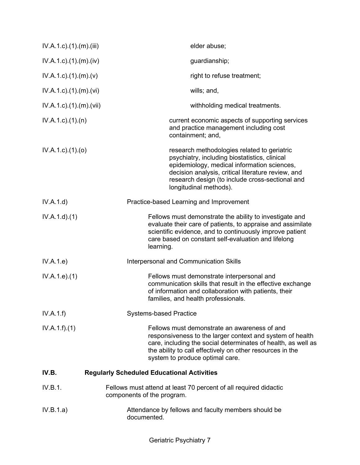| $IV.A.1.c$ . $(1).$ $(m).$ $(iii)$ | elder abuse;                                                                                                                                                                                                                                                                   |
|------------------------------------|--------------------------------------------------------------------------------------------------------------------------------------------------------------------------------------------------------------------------------------------------------------------------------|
| $IV.A.1.c$ . $(1).$ $(m).$ $(iv)$  | guardianship;                                                                                                                                                                                                                                                                  |
| $IV.A.1.c$ . $(1).$ $(m).$ $(v)$   | right to refuse treatment;                                                                                                                                                                                                                                                     |
| $IV.A.1.c$ . $(1).$ $(m).$ $(vi)$  | wills; and,                                                                                                                                                                                                                                                                    |
| $IV.A.1.c$ . $(1).$ (m). $(vii)$   | withholding medical treatments.                                                                                                                                                                                                                                                |
| $IV.A.1.c$ . $(1).$ $(n)$          | current economic aspects of supporting services<br>and practice management including cost<br>containment; and,                                                                                                                                                                 |
| $IV.A.1.c$ . $(1).$ $(o)$          | research methodologies related to geriatric<br>psychiatry, including biostatistics, clinical<br>epidemiology, medical information sciences,<br>decision analysis, critical literature review, and<br>research design (to include cross-sectional and<br>longitudinal methods). |
| IV.A.1.d)                          | Practice-based Learning and Improvement                                                                                                                                                                                                                                        |
| IV.A.1.d.(1)                       | Fellows must demonstrate the ability to investigate and<br>evaluate their care of patients, to appraise and assimilate<br>scientific evidence, and to continuously improve patient<br>care based on constant self-evaluation and lifelong<br>learning.                         |
| IV.A.1.e)                          | Interpersonal and Communication Skills                                                                                                                                                                                                                                         |
| IV.A.1.e. (1)                      | Fellows must demonstrate interpersonal and<br>communication skills that result in the effective exchange<br>of information and collaboration with patients, their<br>families, and health professionals.                                                                       |
| IV.A.1.f)                          | <b>Systems-based Practice</b>                                                                                                                                                                                                                                                  |
| IV.A.1.f)(1)                       | Fellows must demonstrate an awareness of and<br>responsiveness to the larger context and system of health<br>care, including the social determinates of health, as well as<br>the ability to call effectively on other resources in the<br>system to produce optimal care.     |
| IV.B.                              | <b>Regularly Scheduled Educational Activities</b>                                                                                                                                                                                                                              |
| IV.B.1.                            | Fellows must attend at least 70 percent of all required didactic<br>components of the program.                                                                                                                                                                                 |
| IV.B.1.a)                          | Attendance by fellows and faculty members should be<br>documented.                                                                                                                                                                                                             |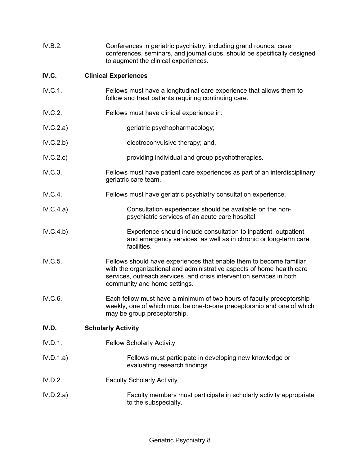| IV.B.2.   | Conferences in geriatric psychiatry, including grand rounds, case<br>conferences, seminars, and journal clubs, should be specifically designed<br>to augment the clinical experiences.                                                                 |
|-----------|--------------------------------------------------------------------------------------------------------------------------------------------------------------------------------------------------------------------------------------------------------|
| IV.C.     | <b>Clinical Experiences</b>                                                                                                                                                                                                                            |
| IV.C.1.   | Fellows must have a longitudinal care experience that allows them to<br>follow and treat patients requiring continuing care.                                                                                                                           |
| IV.C.2.   | Fellows must have clinical experience in:                                                                                                                                                                                                              |
| IV.C.2.a) | geriatric psychopharmacology;                                                                                                                                                                                                                          |
| IV.C.2.b) | electroconvulsive therapy; and,                                                                                                                                                                                                                        |
| IV.C.2.c) | providing individual and group psychotherapies.                                                                                                                                                                                                        |
| IV.C.3.   | Fellows must have patient care experiences as part of an interdisciplinary<br>geriatric care team.                                                                                                                                                     |
| IV.C.4.   | Fellows must have geriatric psychiatry consultation experience.                                                                                                                                                                                        |
| IV.C.4.a) | Consultation experiences should be available on the non-<br>psychiatric services of an acute care hospital.                                                                                                                                            |
| IV.C.4.b) | Experience should include consultation to inpatient, outpatient,<br>and emergency services, as well as in chronic or long-term care<br>facilities.                                                                                                     |
| IV.C.5.   | Fellows should have experiences that enable them to become familiar<br>with the organizational and administrative aspects of home health care<br>services, outreach services, and crisis intervention services in both<br>community and home settings. |
| IV.C.6.   | Each fellow must have a minimum of two hours of faculty preceptorship<br>weekly, one of which must be one-to-one preceptorship and one of which<br>may be group preceptorship.                                                                         |
| IV.D.     | <b>Scholarly Activity</b>                                                                                                                                                                                                                              |
| IV.D.1.   | <b>Fellow Scholarly Activity</b>                                                                                                                                                                                                                       |
| IV.D.1.a) | Fellows must participate in developing new knowledge or<br>evaluating research findings.                                                                                                                                                               |
| IV.D.2.   | <b>Faculty Scholarly Activity</b>                                                                                                                                                                                                                      |
| IV.D.2.a) | Faculty members must participate in scholarly activity appropriate<br>to the subspecialty.                                                                                                                                                             |